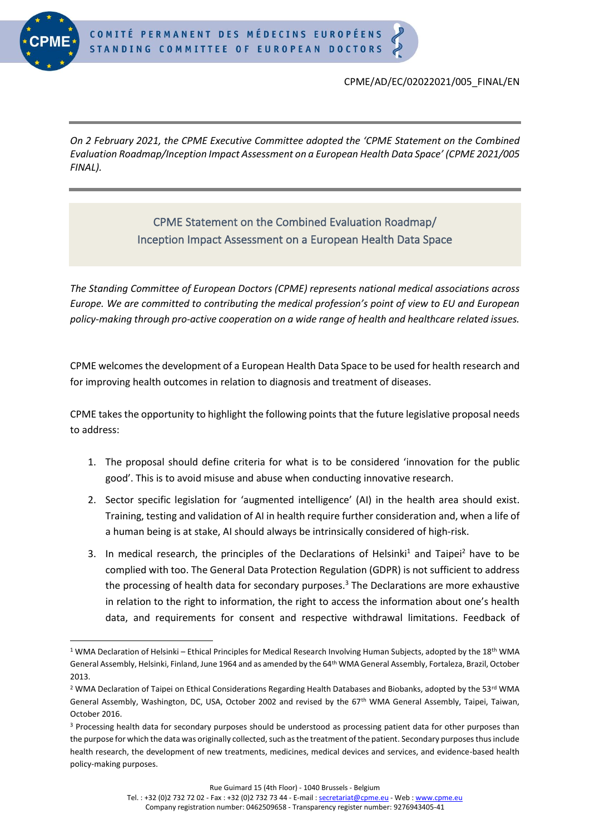

## CPME/AD/EC/02022021/005\_FINAL/EN

*On 2 February 2021, the CPME Executive Committee adopted the 'CPME Statement on the Combined Evaluation Roadmap/Inception Impact Assessment on a European Health Data Space' (CPME 2021/005 FINAL).*

## CPME Statement on the Combined Evaluation Roadmap/ Inception Impact Assessment on a European Health Data Space

*The Standing Committee of European Doctors (CPME) represents national medical associations across Europe. We are committed to contributing the medical profession's point of view to EU and European policy-making through pro-active cooperation on a wide range of health and healthcare related issues.*

CPME welcomes the development of a European Health Data Space to be used for health research and for improving health outcomes in relation to diagnosis and treatment of diseases.

CPME takes the opportunity to highlight the following points that the future legislative proposal needs to address:

- 1. The proposal should define criteria for what is to be considered 'innovation for the public good'. This is to avoid misuse and abuse when conducting innovative research.
- 2. Sector specific legislation for 'augmented intelligence' (AI) in the health area should exist. Training, testing and validation of AI in health require further consideration and, when a life of a human being is at stake, AI should always be intrinsically considered of high-risk.
- 3. In medical research, the principles of the Declarations of Helsinki<sup>1</sup> and Taipei<sup>2</sup> have to be complied with too. The General Data Protection Regulation (GDPR) is not sufficient to address the processing of health data for secondary purposes.<sup>3</sup> The Declarations are more exhaustive in relation to the right to information, the right to access the information about one's health data, and requirements for consent and respective withdrawal limitations. Feedback of

<sup>&</sup>lt;sup>1</sup> WMA Declaration of Helsinki – Ethical Principles for Medical Research Involving Human Subjects, adopted by the 18<sup>th</sup> WMA General Assembly, Helsinki, Finland, June 1964 and as amended by the 64th WMA General Assembly, Fortaleza, Brazil, October 2013.

<sup>&</sup>lt;sup>2</sup> WMA Declaration of Taipei on Ethical Considerations Regarding Health Databases and Biobanks, adopted by the 53<sup>rd</sup> WMA General Assembly, Washington, DC, USA, October 2002 and revised by the 67th WMA General Assembly, Taipei, Taiwan, October 2016.

<sup>&</sup>lt;sup>3</sup> Processing health data for secondary purposes should be understood as processing patient data for other purposes than the purpose for which the data was originally collected, such as the treatment of the patient. Secondary purposes thus include health research, the development of new treatments, medicines, medical devices and services, and evidence-based health policy-making purposes.